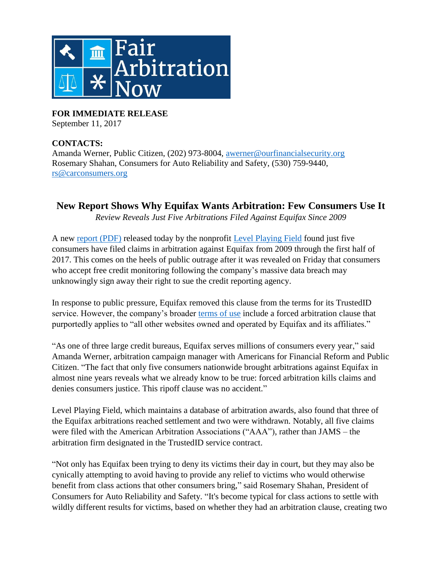

**FOR IMMEDIATE RELEASE** September 11, 2017

## **CONTACTS:**

Amanda Werner, Public Citizen, (202) 973-8004, [awerner@ourfinancialsecurity.org](mailto:awerner@ourfinancialsecurity.org) Rosemary Shahan, Consumers for Auto Reliability and Safety, (530) 759-9440, [rs@carconsumers.org](mailto:rs@carconsumers.org)

## **New Report Shows Why Equifax Wants Arbitration: Few Consumers Use It**

*Review Reveals Just Five Arbitrations Filed Against Equifax Since 2009*

A new [report](http://www.fairarbitrationnow.org/wp-content/uploads/LPF-Equifax-Report.pdf) (PDF) released today by the nonprofit [Level Playing Field](lpf.io) found just five consumers have filed claims in arbitration against Equifax from 2009 through the first half of 2017. This comes on the heels of public outrage after it was revealed on Friday that consumers who accept free credit monitoring following the company's massive data breach may unknowingly sign away their right to sue the credit reporting agency.

In response to public pressure, Equifax removed this clause from the terms for its TrustedID service. However, the company's broader [terms of use](http://www.equifax.com/terms/) include a forced arbitration clause that purportedly applies to "all other websites owned and operated by Equifax and its affiliates."

"As one of three large credit bureaus, Equifax serves millions of consumers every year," said Amanda Werner, arbitration campaign manager with Americans for Financial Reform and Public Citizen. "The fact that only five consumers nationwide brought arbitrations against Equifax in almost nine years reveals what we already know to be true: forced arbitration kills claims and denies consumers justice. This ripoff clause was no accident."

Level Playing Field, which maintains a database of arbitration awards, also found that three of the Equifax arbitrations reached settlement and two were withdrawn. Notably, all five claims were filed with the American Arbitration Associations ("AAA"), rather than JAMS – the arbitration firm designated in the TrustedID service contract.

"Not only has Equifax been trying to deny its victims their day in court, but they may also be cynically attempting to avoid having to provide any relief to victims who would otherwise benefit from class actions that other consumers bring," said Rosemary Shahan, President of Consumers for Auto Reliability and Safety. "It's become typical for class actions to settle with wildly different results for victims, based on whether they had an arbitration clause, creating two